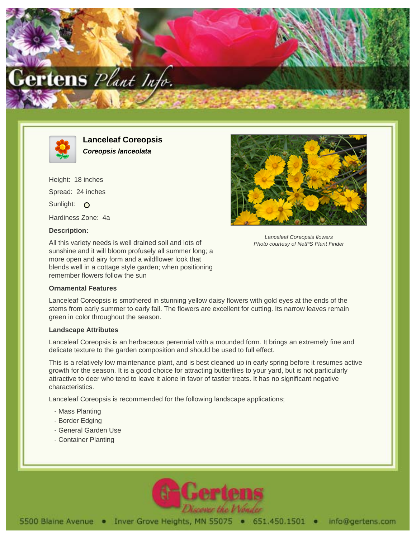



**Lanceleaf Coreopsis Coreopsis lanceolata**

Height: 18 inches Spread: 24 inches Sunlight: O Hardiness Zone: 4a

## **Description:**

All this variety needs is well drained soil and lots of sunshine and it will bloom profusely all summer long; a more open and airy form and a wildflower look that blends well in a cottage style garden; when positioning remember flowers follow the sun

## **Ornamental Features**

Lanceleaf Coreopsis is smothered in stunning yellow daisy flowers with gold eyes at the ends of the stems from early summer to early fall. The flowers are excellent for cutting. Its narrow leaves remain green in color throughout the season.

## **Landscape Attributes**

Lanceleaf Coreopsis is an herbaceous perennial with a mounded form. It brings an extremely fine and delicate texture to the garden composition and should be used to full effect.

This is a relatively low maintenance plant, and is best cleaned up in early spring before it resumes active growth for the season. It is a good choice for attracting butterflies to your yard, but is not particularly attractive to deer who tend to leave it alone in favor of tastier treats. It has no significant negative characteristics.

Lanceleaf Coreopsis is recommended for the following landscape applications;

- Mass Planting
- Border Edging
- General Garden Use
- Container Planting





Lanceleaf Coreopsis flowers Photo courtesy of NetPS Plant Finder